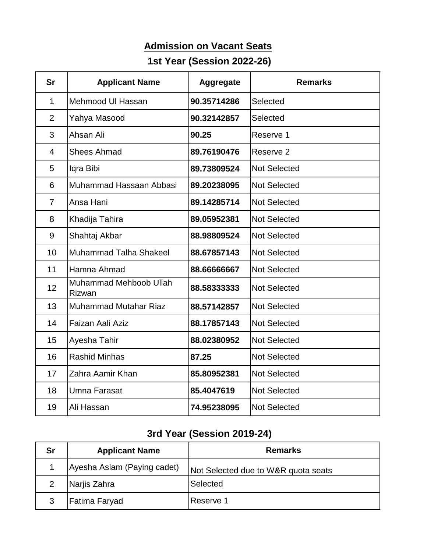## **Admission on Vacant Seats**

## **1st Year (Session 2022-26)**

| <b>Sr</b>      | <b>Applicant Name</b>                   | <b>Aggregate</b> | <b>Remarks</b>      |
|----------------|-----------------------------------------|------------------|---------------------|
| 1              | Mehmood UI Hassan                       | 90.35714286      | Selected            |
| $\overline{2}$ | Yahya Masood                            | 90.32142857      | Selected            |
| 3              | Ahsan Ali                               | 90.25            | Reserve 1           |
| $\overline{4}$ | <b>Shees Ahmad</b>                      | 89.76190476      | Reserve 2           |
| 5              | Iqra Bibi                               | 89.73809524      | <b>Not Selected</b> |
| 6              | Muhammad Hassaan Abbasi                 | 89.20238095      | <b>Not Selected</b> |
| $\overline{7}$ | Ansa Hani                               | 89.14285714      | <b>Not Selected</b> |
| 8              | Khadija Tahira                          | 89.05952381      | <b>Not Selected</b> |
| 9              | Shahtaj Akbar                           | 88.98809524      | <b>Not Selected</b> |
| 10             | <b>Muhammad Talha Shakeel</b>           | 88.67857143      | <b>Not Selected</b> |
| 11             | Hamna Ahmad                             | 88.66666667      | <b>Not Selected</b> |
| 12             | <b>Muhammad Mehboob Ullah</b><br>Rizwan | 88.58333333      | <b>Not Selected</b> |
| 13             | <b>Muhammad Mutahar Riaz</b>            | 88.57142857      | Not Selected        |
| 14             | Faizan Aali Aziz                        | 88.17857143      | <b>Not Selected</b> |
| 15             | Ayesha Tahir                            | 88.02380952      | <b>Not Selected</b> |
| 16             | <b>Rashid Minhas</b>                    | 87.25            | <b>Not Selected</b> |
| 17             | Zahra Aamir Khan                        | 85.80952381      | <b>Not Selected</b> |
| 18             | <b>Umna Farasat</b>                     | 85.4047619       | <b>Not Selected</b> |
| 19             | Ali Hassan                              | 74.95238095      | <b>Not Selected</b> |

## **3rd Year (Session 2019-24)**

| <b>Sr</b> | <b>Applicant Name</b>       | <b>Remarks</b>                      |
|-----------|-----------------------------|-------------------------------------|
|           | Ayesha Aslam (Paying cadet) | Not Selected due to W&R quota seats |
| 2         | Narjis Zahra                | Selected                            |
| 3         | Fatima Faryad               | Reserve 1                           |